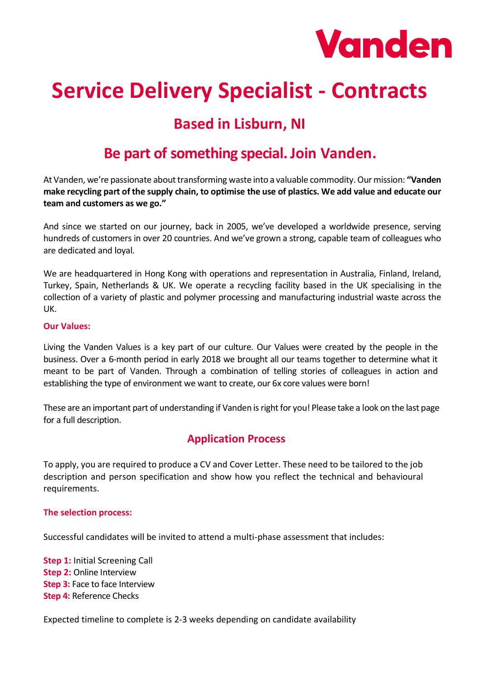

# **Service Delivery Specialist - Contracts**

# **Based in Lisburn, NI**

# **Be part of something special. Join Vanden.**

At Vanden, we're passionate about transforming waste into a valuable commodity. Our mission: **"Vanden make recycling part of the supply chain, to optimise the use of plastics. We add value and educate our team and customers as we go."**

And since we started on our journey, back in 2005, we've developed a worldwide presence, serving hundreds of customers in over 20 countries. And we've grown a strong, capable team of colleagues who are dedicated and loyal.

We are headquartered in Hong Kong with operations and representation in Australia, Finland, Ireland, Turkey, Spain, Netherlands & UK. We operate a recycling facility based in the UK specialising in the collection of a variety of plastic and polymer processing and manufacturing industrial waste across the UK.

#### **Our Values:**

Living the Vanden Values is a key part of our culture. Our Values were created by the people in the business. Over a 6-month period in early 2018 we brought all our teams together to determine what it meant to be part of Vanden. Through a combination of telling stories of colleagues in action and establishing the type of environment we want to create, our 6x core values were born!

These are an important part of understanding if Vanden is right for you! Please take a look on the last page for a full description.

### **Application Process**

To apply, you are required to produce a CV and Cover Letter. These need to be tailored to the job description and person specification and show how you reflect the technical and behavioural requirements.

#### **The selection process:**

Successful candidates will be invited to attend a multi-phase assessment that includes:

**Step 1:** Initial Screening Call **Step 2:** Online Interview **Step 3:** Face to face Interview **Step 4:** Reference Checks

Expected timeline to complete is 2-3 weeks depending on candidate availability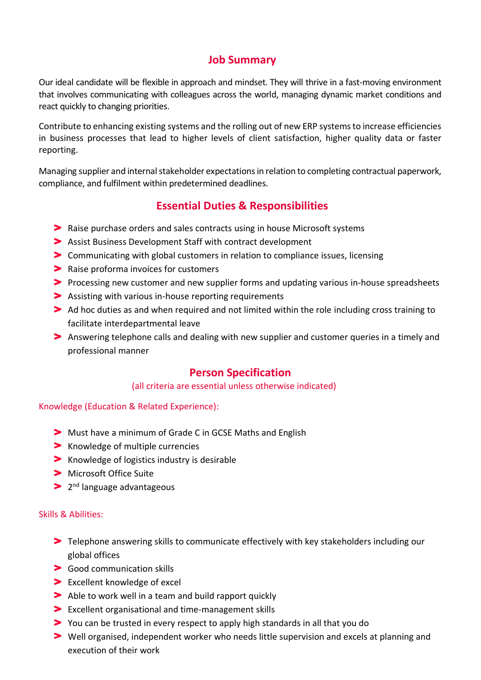## **Job Summary**

Our ideal candidate will be flexible in approach and mindset. They will thrive in a fast-moving environment that involves communicating with colleagues across the world, managing dynamic market conditions and react quickly to changing priorities.

Contribute to enhancing existing systems and the rolling out of new ERP systems to increase efficiencies in business processes that lead to higher levels of client satisfaction, higher quality data or faster reporting.

Managing supplier and internal stakeholder expectations in relation to completing contractual paperwork, compliance, and fulfilment within predetermined deadlines.

# **Essential Duties & Responsibilities**

- **>** Raise purchase orders and sales contracts using in house Microsoft systems
- Assist Business Development Staff with contract development
- Communicating with global customers in relation to compliance issues, licensing
- **>** Raise proforma invoices for customers
- Processing new customer and new supplier forms and updating various in-house spreadsheets
- Assisting with various in-house reporting requirements
- Ad hoc duties as and when required and not limited within the role including cross training to facilitate interdepartmental leave
- Answering telephone calls and dealing with new supplier and customer queries in a timely and professional manner

### **Person Specification**

#### (all criteria are essential unless otherwise indicated)

#### Knowledge (Education & Related Experience):

- Must have a minimum of Grade C in GCSE Maths and English
- > Knowledge of multiple currencies
- **K** Knowledge of logistics industry is desirable
- > Microsoft Office Suite
- 2<sup>nd</sup> language advantageous

#### Skills & Abilities:

- Telephone answering skills to communicate effectively with key stakeholders including our global offices
- > Good communication skills
- > Excellent knowledge of excel
- Able to work well in a team and build rapport quickly
- Excellent organisational and time-management skills
- You can be trusted in every respect to apply high standards in all that you do
- Well organised, independent worker who needs little supervision and excels at planning and execution of their work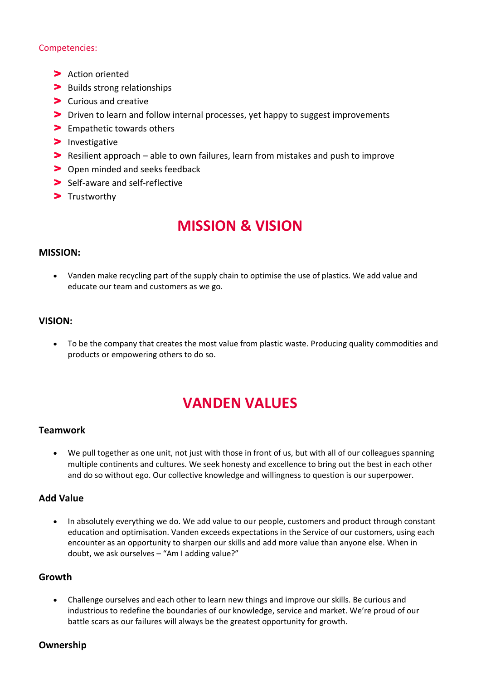#### Competencies:

- > Action oriented
- > Builds strong relationships
- > Curious and creative
- Driven to learn and follow internal processes, yet happy to suggest improvements
- > Empathetic towards others
- $\blacktriangleright$  Investigative
- Resilient approach able to own failures, learn from mistakes and push to improve
- > Open minded and seeks feedback
- Self-aware and self-reflective
- > Trustworthy

# **MISSION & VISION**

#### **MISSION:**

• Vanden make recycling part of the supply chain to optimise the use of plastics. We add value and educate our team and customers as we go.

#### **VISION:**

• To be the company that creates the most value from plastic waste. Producing quality commodities and products or empowering others to do so.

# **VANDEN VALUES**

#### **Teamwork**

• We pull together as one unit, not just with those in front of us, but with all of our colleagues spanning multiple continents and cultures. We seek honesty and excellence to bring out the best in each other and do so without ego. Our collective knowledge and willingness to question is our superpower.

#### **Add Value**

• In absolutely everything we do. We add value to our people, customers and product through constant education and optimisation. Vanden exceeds expectations in the Service of our customers, using each encounter as an opportunity to sharpen our skills and add more value than anyone else. When in doubt, we ask ourselves – "Am I adding value?"

#### **Growth**

• Challenge ourselves and each other to learn new things and improve our skills. Be curious and industrious to redefine the boundaries of our knowledge, service and market. We're proud of our battle scars as our failures will always be the greatest opportunity for growth.

#### **Ownership**